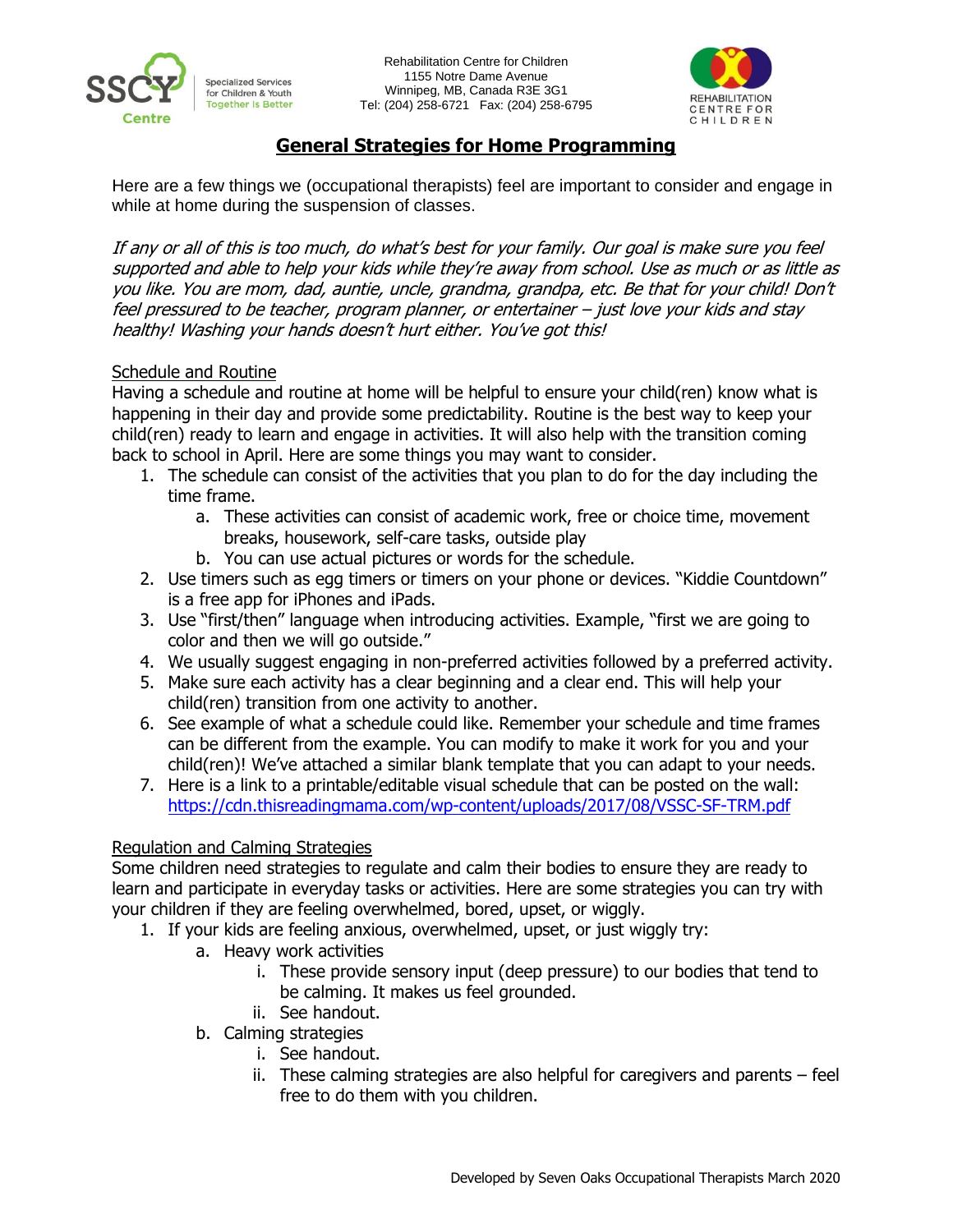



# **General Strategies for Home Programming**

Here are a few things we (occupational therapists) feel are important to consider and engage in while at home during the suspension of classes.

If any or all of this is too much, do what's best for your family. Our goal is make sure you feel supported and able to help your kids while they're away from school. Use as much or as little as you like. You are mom, dad, auntie, uncle, grandma, grandpa, etc. Be that for your child! Don't feel pressured to be teacher, program planner, or entertainer – just love your kids and stay healthy! Washing your hands doesn't hurt either. You've got this!

#### Schedule and Routine

Having a schedule and routine at home will be helpful to ensure your child(ren) know what is happening in their day and provide some predictability. Routine is the best way to keep your child(ren) ready to learn and engage in activities. It will also help with the transition coming back to school in April. Here are some things you may want to consider.

- 1. The schedule can consist of the activities that you plan to do for the day including the time frame.
	- a. These activities can consist of academic work, free or choice time, movement breaks, housework, self-care tasks, outside play
	- b. You can use actual pictures or words for the schedule.
- 2. Use timers such as egg timers or timers on your phone or devices. "Kiddie Countdown" is a free app for iPhones and iPads.
- 3. Use "first/then" language when introducing activities. Example, "first we are going to color and then we will go outside."
- 4. We usually suggest engaging in non-preferred activities followed by a preferred activity.
- 5. Make sure each activity has a clear beginning and a clear end. This will help your child(ren) transition from one activity to another.
- 6. See example of what a schedule could like. Remember your schedule and time frames can be different from the example. You can modify to make it work for you and your child(ren)! We've attached a similar blank template that you can adapt to your needs.
- 7. Here is a link to a printable/editable visual schedule that can be posted on the wall: <https://cdn.thisreadingmama.com/wp-content/uploads/2017/08/VSSC-SF-TRM.pdf>

### Regulation and Calming Strategies

Some children need strategies to regulate and calm their bodies to ensure they are ready to learn and participate in everyday tasks or activities. Here are some strategies you can try with your children if they are feeling overwhelmed, bored, upset, or wiggly.

- 1. If your kids are feeling anxious, overwhelmed, upset, or just wiggly try:
	- a. Heavy work activities
		- i. These provide sensory input (deep pressure) to our bodies that tend to be calming. It makes us feel grounded.
		- ii. See handout.
	- b. Calming strategies
		- i. See handout.
		- ii. These calming strategies are also helpful for caregivers and parents feel free to do them with you children.